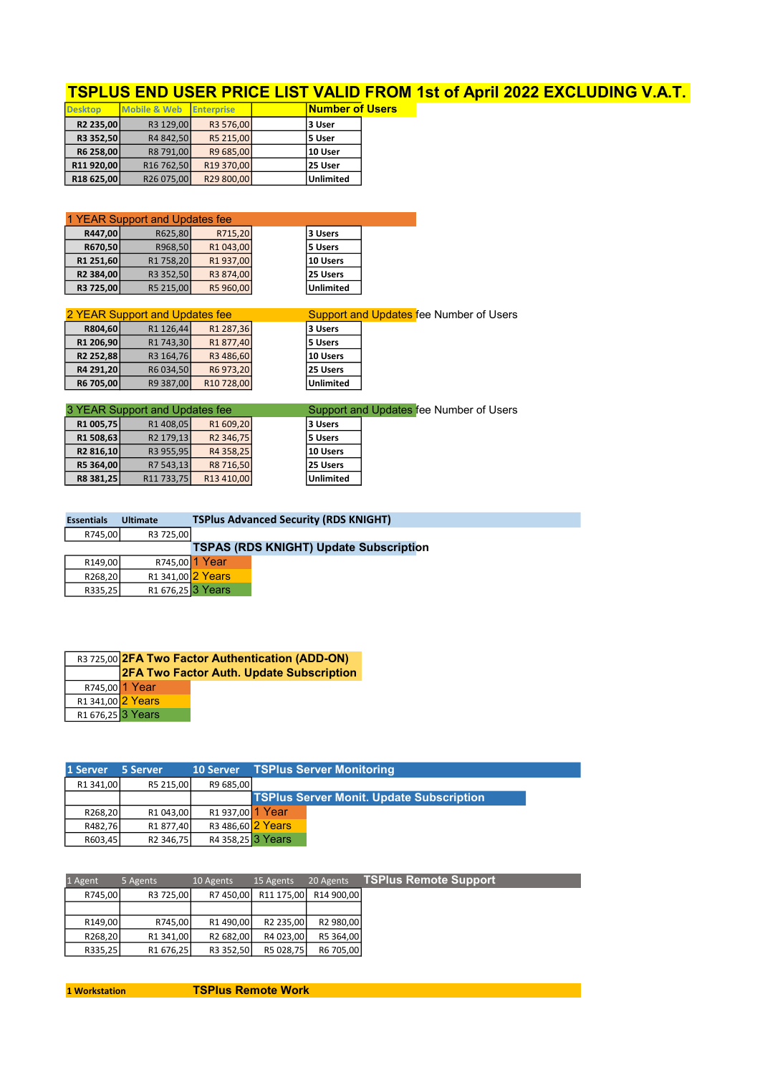| <u>TSPLUS END USER PRICE LIST VALID FROM 1st of April 2022 EXCLUDING V.A.T.</u> |
|---------------------------------------------------------------------------------|
|---------------------------------------------------------------------------------|

| <b>Desktop</b>         | <b>Mobile &amp; Web</b> | <b>Enterprise</b> | <b>Number of Users</b> |  |
|------------------------|-------------------------|-------------------|------------------------|--|
| R <sub>2</sub> 235,00  | R3 129,00               | R3 576,00         | 3 User                 |  |
| R3 352,50              | R4 842,50               | R5 215,00         | l5 User                |  |
| R6 258,00              | R8 791,00               | R9 685,00         | 10 User                |  |
| R11 920,00             | R <sub>16</sub> 762,50  | R19 370,00        | 25 User                |  |
| R <sub>18</sub> 625,00 | R26 075,00              | R29 800,00        | <b>Unlimited</b>       |  |

| 1 YEAR Support and Updates fee |           |           |  |                  |  |  |
|--------------------------------|-----------|-----------|--|------------------|--|--|
| R447,00                        | R625,80   | R715,20   |  | 3 Users          |  |  |
| R670,50                        | R968,50   | R1 043,00 |  | 5 Users          |  |  |
| R1 251,60                      | R1 758,20 | R1937,00  |  | 10 Users         |  |  |
| R2 384,00                      | R3 352,50 | R3 874,00 |  | 25 Users         |  |  |
| R3 725,00                      | R5 215,00 | R5 960,00 |  | <b>Unlimited</b> |  |  |

| 2 YEAR Support and Updates fee |                       |            |                  | <b>Support and Updates fee Number of Users</b> |
|--------------------------------|-----------------------|------------|------------------|------------------------------------------------|
| R804,60                        | R <sub>1</sub> 126,44 | R1 287,36  | l3 Users         |                                                |
| R <sub>1</sub> 206,90          | R <sub>1</sub> 743,30 | R1877,40   | 5 Users          |                                                |
| R <sub>2</sub> 252,88          | R3 164,76             | R3 486,60  | 10 Users         |                                                |
| R4 291,20                      | R6 034,50             | R6973,20   | 125 Users        |                                                |
| R6 705,00                      | R9 387,00             | R10 728,00 | <b>Unlimited</b> |                                                |
|                                |                       |            |                  |                                                |

|                       | 3 YEAR Support and Updates fee |                       |           | Support and Updates fee Number of Users |
|-----------------------|--------------------------------|-----------------------|-----------|-----------------------------------------|
| R <sub>1</sub> 005,75 | R <sub>1</sub> 408,05          | R1 609,20             | l3 Users  |                                         |
| R <sub>1</sub> 508,63 | R <sub>2</sub> 179,13          | R <sub>2</sub> 346,75 | l5 Users  |                                         |
| R <sub>2</sub> 816,10 | R3 955,95                      | R4 358,25             | 10 Users  |                                         |
| R5 364,00             | R7 543,13                      | R8 716,50             | 125 Users |                                         |
| R8 381,25             | R11 733,75                     | R13 410,00            | Unlimited |                                         |

| <b>Essentials</b> | <b>Ultimate</b>                          |                | <b>TSPlus Advanced Security (RDS KNIGHT)</b>  |
|-------------------|------------------------------------------|----------------|-----------------------------------------------|
| R745,00           | R3 725,00                                |                |                                               |
|                   |                                          |                | <b>TSPAS (RDS KNIGHT) Update Subscription</b> |
| R149,00           |                                          | R745,00 1 Year |                                               |
| R268,20           | R1 341,00 2 Years                        |                |                                               |
| R335,25           | R <sub>1</sub> 676,25 <sup>3</sup> Years |                |                                               |

|                               | R3 725,00 2FA Two Factor Authentication (ADD-ON) |                                          |  |  |
|-------------------------------|--------------------------------------------------|------------------------------------------|--|--|
|                               |                                                  | 2FA Two Factor Auth. Update Subscription |  |  |
|                               | R745,00 1 Year                                   |                                          |  |  |
| R1 341,00 2 Years             |                                                  |                                          |  |  |
| R <sub>1</sub> 676,25 3 Years |                                                  |                                          |  |  |

| 1 Server  | 5 Server              | <b>10 Server</b>  | <b>TSPlus Server Monitoring</b>                 |  |
|-----------|-----------------------|-------------------|-------------------------------------------------|--|
| R1 341,00 | R5 215.00             | R9 685.00         |                                                 |  |
|           |                       |                   | <b>TSPlus Server Monit. Update Subscription</b> |  |
| R268,20   | R <sub>1</sub> 043,00 | R1 937,00 1 Year  |                                                 |  |
| R482,76   | R <sub>1</sub> 877,40 | R3 486,60 2 Years |                                                 |  |
| R603,45   | R <sub>2</sub> 346,75 | R4 358,25 3 Years |                                                 |  |

| 1 Agent | 5 Agents              | 10 Agents | 15 Agents             | 20 Agents  | <b>TSPlus Remote Support</b> |
|---------|-----------------------|-----------|-----------------------|------------|------------------------------|
| R745,00 | R3 725,00             | R7 450,00 | R11 175,00            | R14 900,00 |                              |
|         |                       |           |                       |            |                              |
| R149,00 | R745.00               | R1490,00  | R <sub>2</sub> 235,00 | R2 980,00  |                              |
| R268,20 | R <sub>1</sub> 341,00 | R2 682,00 | R4 023,00             | R5 364,00  |                              |
| R335,25 | R <sub>1</sub> 676,25 | R3 352,50 | R5 028,75             | R6 705,00  |                              |
|         |                       |           |                       |            |                              |

1 Workstation TSPlus Remote Work